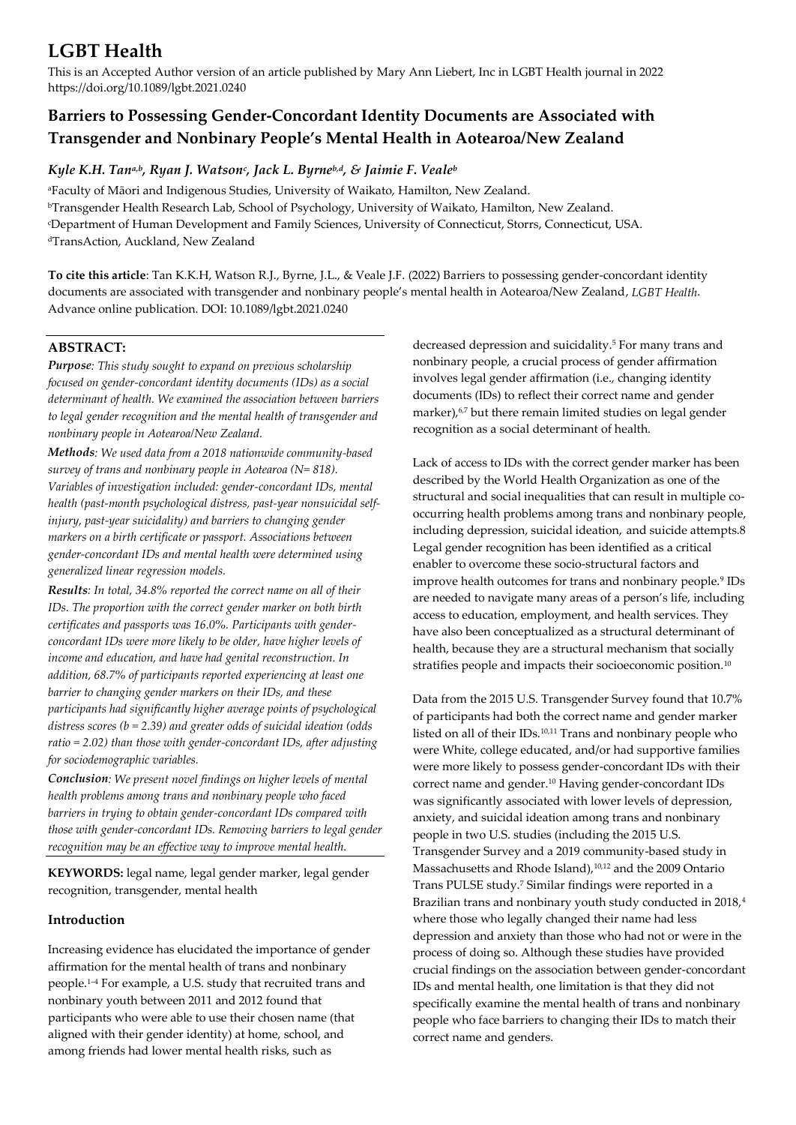# **LGBT Health**

This is an Accepted Author version of an article published by Mary Ann Liebert, Inc in LGBT Health journal in 2022 https://doi.org/10.1089/lgbt.2021.0240

# **Barriers to Possessing Gender-Concordant Identity Documents are Associated with Transgender and Nonbinary People's Mental Health in Aotearoa/New Zealand**

# *Kyle K.H. Tana,b, Ryan J. Watson<sup>c</sup> , Jack L. Byrneb,d, & Jaimie F. Veale<sup>b</sup>*

<sup>a</sup>Faculty of Māori and Indigenous Studies, University of Waikato, Hamilton, New Zealand. <sup>b</sup>Transgender Health Research Lab, School of Psychology, University of Waikato, Hamilton, New Zealand. <sup>c</sup>Department of Human Development and Family Sciences, University of Connecticut, Storrs, Connecticut, USA. <sup>d</sup>TransAction, Auckland, New Zealand

**To cite this article**: Tan K.K.H, Watson R.J., Byrne, J.L., & Veale J.F. (2022) Barriers to possessing gender-concordant identity documents are associated with transgender and nonbinary people's mental health in Aotearoa/New Zealand, *LGBT Health*. Advance online publication. DOI: 10.1089/lgbt.2021.0240

## **ABSTRACT:**

*Purpose: This study sought to expand on previous scholarship focused on gender-concordant identity documents (IDs) as a social determinant of health. We examined the association between barriers to legal gender recognition and the mental health of transgender and nonbinary people in Aotearoa/New Zealand.* 

*Methods: We used data from a 2018 nationwide community-based survey of trans and nonbinary people in Aotearoa (N= 818). Variables of investigation included: gender-concordant IDs, mental health (past-month psychological distress, past-year nonsuicidal selfinjury, past-year suicidality) and barriers to changing gender markers on a birth certificate or passport. Associations between gender-concordant IDs and mental health were determined using generalized linear regression models.* 

*Results: In total, 34.8% reported the correct name on all of their IDs. The proportion with the correct gender marker on both birth certificates and passports was 16.0%. Participants with genderconcordant IDs were more likely to be older, have higher levels of income and education, and have had genital reconstruction. In addition, 68.7% of participants reported experiencing at least one barrier to changing gender markers on their IDs, and these participants had significantly higher average points of psychological distress scores (b = 2.39) and greater odds of suicidal ideation (odds ratio = 2.02) than those with gender-concordant IDs, after adjusting for sociodemographic variables.* 

*Conclusion: We present novel findings on higher levels of mental health problems among trans and nonbinary people who faced barriers in trying to obtain gender-concordant IDs compared with those with gender-concordant IDs. Removing barriers to legal gender recognition may be an effective way to improve mental health.*

**KEYWORDS:** legal name, legal gender marker, legal gender recognition, transgender, mental health

## **Introduction**

Increasing evidence has elucidated the importance of gender affirmation for the mental health of trans and nonbinary people.<sup>1</sup>–<sup>4</sup> For example, a U.S. study that recruited trans and nonbinary youth between 2011 and 2012 found that participants who were able to use their chosen name (that aligned with their gender identity) at home, school, and among friends had lower mental health risks, such as

decreased depression and suicidality.<sup>5</sup> For many trans and nonbinary people, a crucial process of gender affirmation involves legal gender affirmation (i.e., changing identity documents (IDs) to reflect their correct name and gender marker),<sup>6,7</sup> but there remain limited studies on legal gender recognition as a social determinant of health.

Lack of access to IDs with the correct gender marker has been described by the World Health Organization as one of the structural and social inequalities that can result in multiple cooccurring health problems among trans and nonbinary people, including depression, suicidal ideation, and suicide attempts.8 Legal gender recognition has been identified as a critical enabler to overcome these socio-structural factors and improve health outcomes for trans and nonbinary people.<sup>9</sup> IDs are needed to navigate many areas of a person's life, including access to education, employment, and health services. They have also been conceptualized as a structural determinant of health, because they are a structural mechanism that socially stratifies people and impacts their socioeconomic position.<sup>10</sup>

Data from the 2015 U.S. Transgender Survey found that 10.7% of participants had both the correct name and gender marker listed on all of their IDs.10,11 Trans and nonbinary people who were White, college educated, and/or had supportive families were more likely to possess gender-concordant IDs with their correct name and gender.<sup>10</sup> Having gender-concordant IDs was significantly associated with lower levels of depression, anxiety, and suicidal ideation among trans and nonbinary people in two U.S. studies (including the 2015 U.S. Transgender Survey and a 2019 community-based study in Massachusetts and Rhode Island),<sup>10,12</sup> and the 2009 Ontario Trans PULSE study.<sup>7</sup> Similar findings were reported in a Brazilian trans and nonbinary youth study conducted in 2018,<sup>4</sup> where those who legally changed their name had less depression and anxiety than those who had not or were in the process of doing so. Although these studies have provided crucial findings on the association between gender-concordant IDs and mental health, one limitation is that they did not specifically examine the mental health of trans and nonbinary people who face barriers to changing their IDs to match their correct name and genders.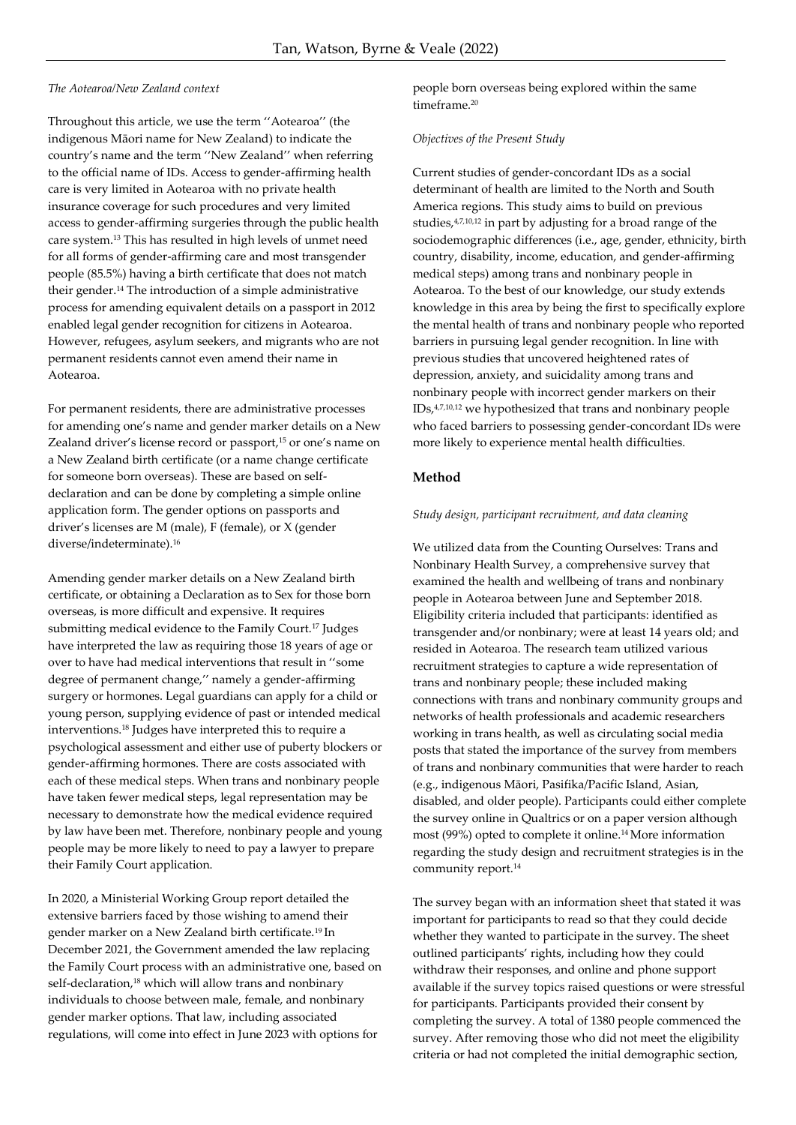## *The Aotearoa/New Zealand context*

Throughout this article, we use the term ''Aotearoa'' (the indigenous Māori name for New Zealand) to indicate the country's name and the term ''New Zealand'' when referring to the official name of IDs. Access to gender-affirming health care is very limited in Aotearoa with no private health insurance coverage for such procedures and very limited access to gender-affirming surgeries through the public health care system.<sup>13</sup> This has resulted in high levels of unmet need for all forms of gender-affirming care and most transgender people (85.5%) having a birth certificate that does not match their gender.<sup>14</sup> The introduction of a simple administrative process for amending equivalent details on a passport in 2012 enabled legal gender recognition for citizens in Aotearoa. However, refugees, asylum seekers, and migrants who are not permanent residents cannot even amend their name in Aotearoa.

For permanent residents, there are administrative processes for amending one's name and gender marker details on a New Zealand driver's license record or passport,<sup>15</sup> or one's name on a New Zealand birth certificate (or a name change certificate for someone born overseas). These are based on selfdeclaration and can be done by completing a simple online application form. The gender options on passports and driver's licenses are M (male), F (female), or X (gender diverse/indeterminate).<sup>16</sup>

Amending gender marker details on a New Zealand birth certificate, or obtaining a Declaration as to Sex for those born overseas, is more difficult and expensive. It requires submitting medical evidence to the Family Court.<sup>17</sup> Judges have interpreted the law as requiring those 18 years of age or over to have had medical interventions that result in ''some degree of permanent change,'' namely a gender-affirming surgery or hormones. Legal guardians can apply for a child or young person, supplying evidence of past or intended medical interventions.<sup>18</sup> Judges have interpreted this to require a psychological assessment and either use of puberty blockers or gender-affirming hormones. There are costs associated with each of these medical steps. When trans and nonbinary people have taken fewer medical steps, legal representation may be necessary to demonstrate how the medical evidence required by law have been met. Therefore, nonbinary people and young people may be more likely to need to pay a lawyer to prepare their Family Court application.

In 2020, a Ministerial Working Group report detailed the extensive barriers faced by those wishing to amend their gender marker on a New Zealand birth certificate.<sup>19</sup>In December 2021, the Government amended the law replacing the Family Court process with an administrative one, based on self-declaration,<sup>18</sup> which will allow trans and nonbinary individuals to choose between male, female, and nonbinary gender marker options. That law, including associated regulations, will come into effect in June 2023 with options for

people born overseas being explored within the same timeframe.<sup>20</sup>

#### *Objectives of the Present Study*

Current studies of gender-concordant IDs as a social determinant of health are limited to the North and South America regions. This study aims to build on previous studies,<sup>4,7,10,12</sup> in part by adjusting for a broad range of the sociodemographic differences (i.e., age, gender, ethnicity, birth country, disability, income, education, and gender-affirming medical steps) among trans and nonbinary people in Aotearoa. To the best of our knowledge, our study extends knowledge in this area by being the first to specifically explore the mental health of trans and nonbinary people who reported barriers in pursuing legal gender recognition. In line with previous studies that uncovered heightened rates of depression, anxiety, and suicidality among trans and nonbinary people with incorrect gender markers on their  $IDS<sub>1</sub><sup>4,7,10,12</sup>$  we hypothesized that trans and nonbinary people who faced barriers to possessing gender-concordant IDs were more likely to experience mental health difficulties.

## **Method**

#### *Study design, participant recruitment, and data cleaning*

We utilized data from the Counting Ourselves: Trans and Nonbinary Health Survey, a comprehensive survey that examined the health and wellbeing of trans and nonbinary people in Aotearoa between June and September 2018. Eligibility criteria included that participants: identified as transgender and/or nonbinary; were at least 14 years old; and resided in Aotearoa. The research team utilized various recruitment strategies to capture a wide representation of trans and nonbinary people; these included making connections with trans and nonbinary community groups and networks of health professionals and academic researchers working in trans health, as well as circulating social media posts that stated the importance of the survey from members of trans and nonbinary communities that were harder to reach (e.g., indigenous Māori, Pasifika/Pacific Island, Asian, disabled, and older people). Participants could either complete the survey online in Qualtrics or on a paper version although most (99%) opted to complete it online.<sup>14</sup>More information regarding the study design and recruitment strategies is in the community report.<sup>14</sup>

The survey began with an information sheet that stated it was important for participants to read so that they could decide whether they wanted to participate in the survey. The sheet outlined participants' rights, including how they could withdraw their responses, and online and phone support available if the survey topics raised questions or were stressful for participants. Participants provided their consent by completing the survey. A total of 1380 people commenced the survey. After removing those who did not meet the eligibility criteria or had not completed the initial demographic section,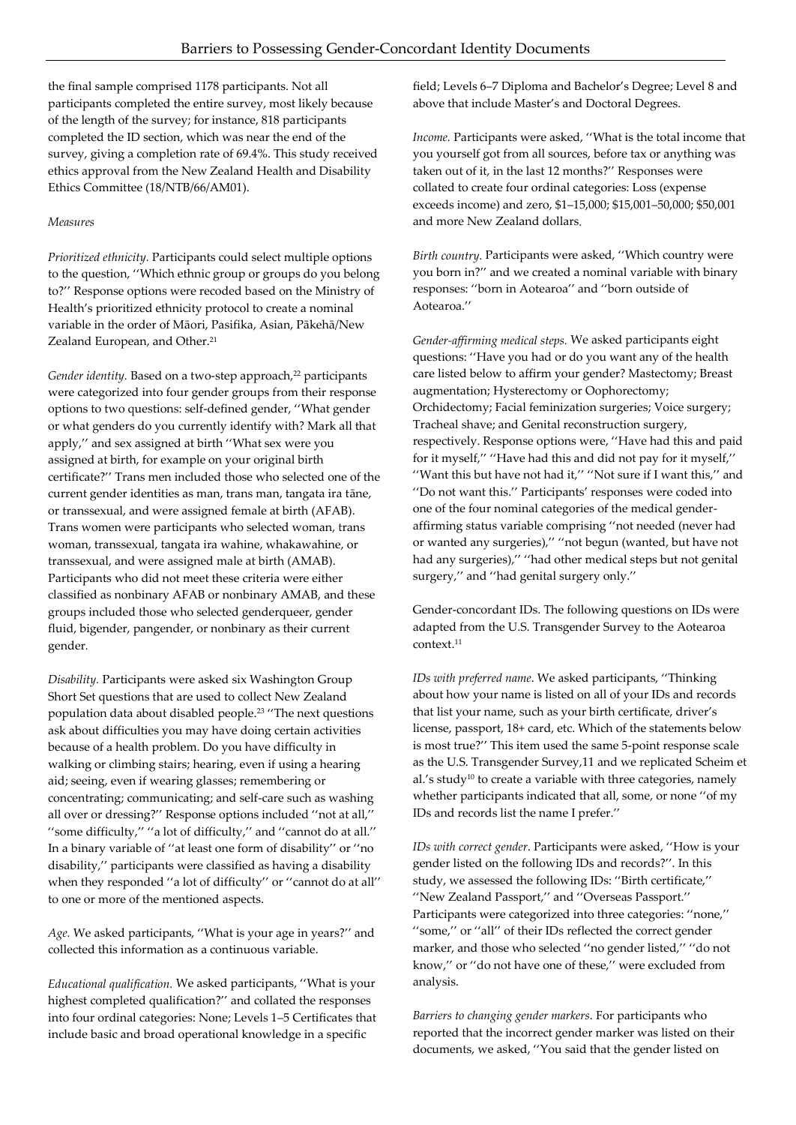the final sample comprised 1178 participants. Not all participants completed the entire survey, most likely because of the length of the survey; for instance, 818 participants completed the ID section, which was near the end of the survey, giving a completion rate of 69.4%. This study received ethics approval from the New Zealand Health and Disability Ethics Committee (18/NTB/66/AM01).

## *Measures*

*Prioritized ethnicity.* Participants could select multiple options to the question, ''Which ethnic group or groups do you belong to?'' Response options were recoded based on the Ministry of Health's prioritized ethnicity protocol to create a nominal variable in the order of Māori, Pasifika, Asian, Pākehā/New Zealand European, and Other.<sup>21</sup>

Gender identity. Based on a two-step approach,<sup>22</sup> participants were categorized into four gender groups from their response options to two questions: self-defined gender, ''What gender or what genders do you currently identify with? Mark all that apply,'' and sex assigned at birth ''What sex were you assigned at birth, for example on your original birth certificate?'' Trans men included those who selected one of the current gender identities as man, trans man, tangata ira tāne, or transsexual, and were assigned female at birth (AFAB). Trans women were participants who selected woman, trans woman, transsexual, tangata ira wahine, whakawahine, or transsexual, and were assigned male at birth (AMAB). Participants who did not meet these criteria were either classified as nonbinary AFAB or nonbinary AMAB, and these groups included those who selected genderqueer, gender fluid, bigender, pangender, or nonbinary as their current gender*.* 

*Disability.* Participants were asked six Washington Group Short Set questions that are used to collect New Zealand population data about disabled people.<sup>23</sup> ''The next questions ask about difficulties you may have doing certain activities because of a health problem. Do you have difficulty in walking or climbing stairs; hearing, even if using a hearing aid; seeing, even if wearing glasses; remembering or concentrating; communicating; and self-care such as washing all over or dressing?'' Response options included ''not at all,'' ''some difficulty,'' ''a lot of difficulty,'' and ''cannot do at all.'' In a binary variable of ''at least one form of disability'' or ''no disability,'' participants were classified as having a disability when they responded ''a lot of difficulty'' or ''cannot do at all'' to one or more of the mentioned aspects.

*Age.* We asked participants, ''What is your age in years?'' and collected this information as a continuous variable.

*Educational qualification.* We asked participants, ''What is your highest completed qualification?'' and collated the responses into four ordinal categories: None; Levels 1–5 Certificates that include basic and broad operational knowledge in a specific

field; Levels 6–7 Diploma and Bachelor's Degree; Level 8 and above that include Master's and Doctoral Degrees.

*Income.* Participants were asked, ''What is the total income that you yourself got from all sources, before tax or anything was taken out of it, in the last 12 months?'' Responses were collated to create four ordinal categories: Loss (expense exceeds income) and zero, \$1–15,000; \$15,001–50,000; \$50,001 and more New Zealand dollars*.* 

*Birth country.* Participants were asked, ''Which country were you born in?'' and we created a nominal variable with binary responses: ''born in Aotearoa'' and ''born outside of Aotearoa.''

*Gender-affirming medical steps.* We asked participants eight questions: ''Have you had or do you want any of the health care listed below to affirm your gender? Mastectomy; Breast augmentation; Hysterectomy or Oophorectomy; Orchidectomy; Facial feminization surgeries; Voice surgery; Tracheal shave; and Genital reconstruction surgery, respectively. Response options were, ''Have had this and paid for it myself,'' ''Have had this and did not pay for it myself,'' ''Want this but have not had it,'' ''Not sure if I want this,'' and ''Do not want this.'' Participants' responses were coded into one of the four nominal categories of the medical genderaffirming status variable comprising ''not needed (never had or wanted any surgeries),'' ''not begun (wanted, but have not had any surgeries),'' ''had other medical steps but not genital surgery,'' and ''had genital surgery only.''

Gender-concordant IDs. The following questions on IDs were adapted from the U.S. Transgender Survey to the Aotearoa context.<sup>11</sup>

*IDs with preferred name*. We asked participants, ''Thinking about how your name is listed on all of your IDs and records that list your name, such as your birth certificate, driver's license, passport, 18+ card, etc. Which of the statements below is most true?'' This item used the same 5-point response scale as the U.S. Transgender Survey,11 and we replicated Scheim et al.'s study<sup>10</sup> to create a variable with three categories, namely whether participants indicated that all, some, or none ''of my IDs and records list the name I prefer.''

*IDs with correct gender*. Participants were asked, ''How is your gender listed on the following IDs and records?''. In this study, we assessed the following IDs: ''Birth certificate,'' ''New Zealand Passport,'' and ''Overseas Passport.'' Participants were categorized into three categories: ''none,'' "some," or "all" of their IDs reflected the correct gender marker, and those who selected ''no gender listed,'' ''do not know,'' or ''do not have one of these,'' were excluded from analysis.

*Barriers to changing gender markers*. For participants who reported that the incorrect gender marker was listed on their documents, we asked, ''You said that the gender listed on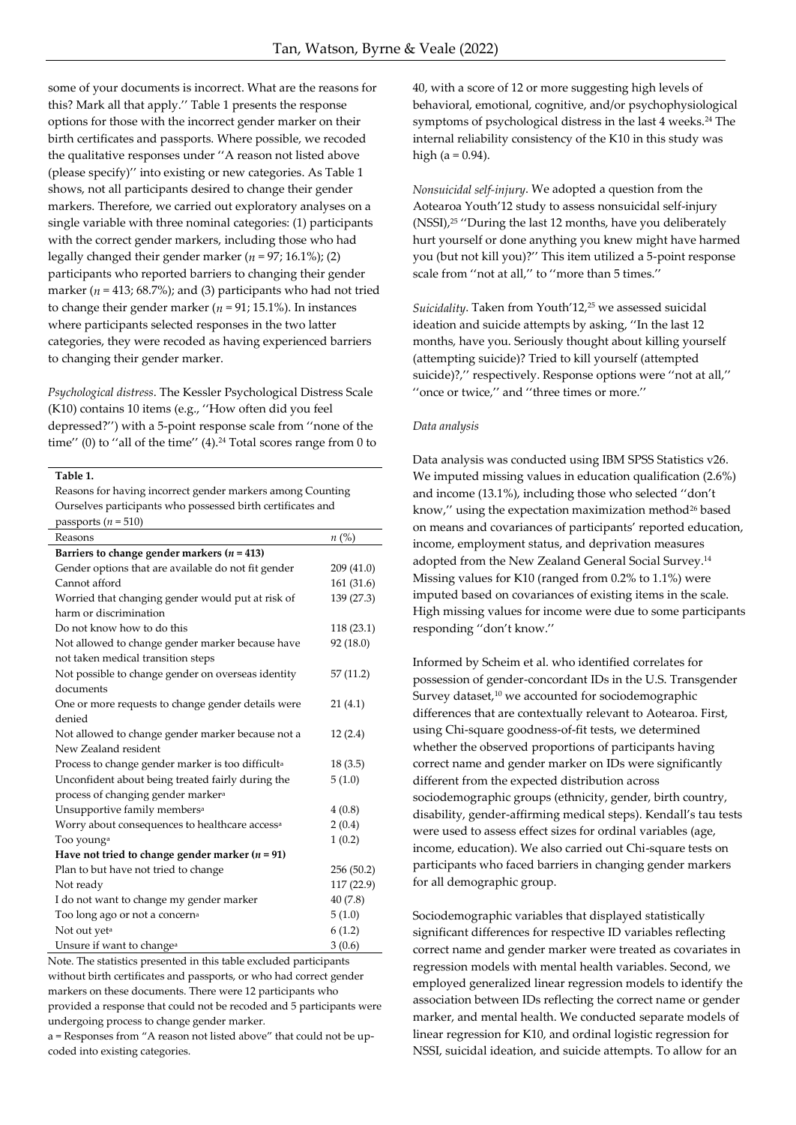some of your documents is incorrect. What are the reasons for this? Mark all that apply.'' Table 1 presents the response options for those with the incorrect gender marker on their birth certificates and passports. Where possible, we recoded the qualitative responses under ''A reason not listed above (please specify)'' into existing or new categories. As Table 1 shows, not all participants desired to change their gender markers. Therefore, we carried out exploratory analyses on a single variable with three nominal categories: (1) participants with the correct gender markers, including those who had legally changed their gender marker ( $n = 97$ ; 16.1%); (2) participants who reported barriers to changing their gender marker ( $n = 413$ ; 68.7%); and (3) participants who had not tried to change their gender marker ( $n = 91$ ; 15.1%). In instances where participants selected responses in the two latter categories, they were recoded as having experienced barriers to changing their gender marker.

*Psychological distress*. The Kessler Psychological Distress Scale (K10) contains 10 items (e.g., ''How often did you feel depressed?'') with a 5-point response scale from ''none of the time" (0) to "all of the time"  $(4)$ .<sup>24</sup> Total scores range from 0 to

**Table 1.** 

Reasons for having incorrect gender markers among Counting Ourselves participants who possessed birth certificates and passports  $(n = 510)$ 

| Reasons                                                       | $n\ (\%)$  |
|---------------------------------------------------------------|------------|
| Barriers to change gender markers ( $n = 413$ )               |            |
| Gender options that are available do not fit gender           | 209(41.0)  |
| Cannot afford                                                 | 161 (31.6) |
| Worried that changing gender would put at risk of             | 139 (27.3) |
| harm or discrimination                                        |            |
| Do not know how to do this                                    | 118 (23.1) |
| Not allowed to change gender marker because have              | 92 (18.0)  |
| not taken medical transition steps                            |            |
| Not possible to change gender on overseas identity            | 57(11.2)   |
| documents                                                     |            |
| One or more requests to change gender details were            | 21(4.1)    |
| denied                                                        |            |
| Not allowed to change gender marker because not a             | 12(2.4)    |
| New Zealand resident                                          |            |
| Process to change gender marker is too difficult <sup>a</sup> | 18(3.5)    |
| Unconfident about being treated fairly during the             | 5(1.0)     |
| process of changing gender marker <sup>a</sup>                |            |
| Unsupportive family members <sup>a</sup>                      | 4(0.8)     |
| Worry about consequences to healthcare access <sup>a</sup>    | 2(0.4)     |
| Too young <sup>a</sup>                                        | 1(0.2)     |
| Have not tried to change gender marker ( $n = 91$ )           |            |
| Plan to but have not tried to change                          | 256 (50.2) |
| Not ready                                                     | 117 (22.9) |
| I do not want to change my gender marker                      | 40(7.8)    |
| Too long ago or not a concern <sup>a</sup>                    | 5(1.0)     |
| Not out yet <sup>a</sup>                                      | 6(1.2)     |
| Unsure if want to change <sup>a</sup>                         | 3(0.6)     |

Note. The statistics presented in this table excluded participants without birth certificates and passports, or who had correct gender markers on these documents. There were 12 participants who provided a response that could not be recoded and 5 participants were undergoing process to change gender marker.

a = Responses from "A reason not listed above" that could not be upcoded into existing categories.

40, with a score of 12 or more suggesting high levels of behavioral, emotional, cognitive, and/or psychophysiological symptoms of psychological distress in the last 4 weeks.<sup>24</sup> The internal reliability consistency of the K10 in this study was high ( $a = 0.94$ ).

*Nonsuicidal self-injury*. We adopted a question from the Aotearoa Youth'12 study to assess nonsuicidal self-injury (NSSI),<sup>25</sup> ''During the last 12 months, have you deliberately hurt yourself or done anything you knew might have harmed you (but not kill you)?'' This item utilized a 5-point response scale from ''not at all,'' to ''more than 5 times.''

Suicidality. Taken from Youth'12,<sup>25</sup> we assessed suicidal ideation and suicide attempts by asking, ''In the last 12 months, have you. Seriously thought about killing yourself (attempting suicide)? Tried to kill yourself (attempted suicide)?,'' respectively. Response options were ''not at all,'' ''once or twice,'' and ''three times or more.''

#### *Data analysis*

Data analysis was conducted using IBM SPSS Statistics v26. We imputed missing values in education qualification (2.6%) and income (13.1%), including those who selected ''don't know," using the expectation maximization method<sup>26</sup> based on means and covariances of participants' reported education, income, employment status, and deprivation measures adopted from the New Zealand General Social Survey.<sup>14</sup> Missing values for K10 (ranged from 0.2% to 1.1%) were imputed based on covariances of existing items in the scale. High missing values for income were due to some participants responding ''don't know.''

Informed by Scheim et al. who identified correlates for possession of gender-concordant IDs in the U.S. Transgender Survey dataset,<sup>10</sup> we accounted for sociodemographic differences that are contextually relevant to Aotearoa. First, using Chi-square goodness-of-fit tests, we determined whether the observed proportions of participants having correct name and gender marker on IDs were significantly different from the expected distribution across sociodemographic groups (ethnicity, gender, birth country, disability, gender-affirming medical steps). Kendall's tau tests were used to assess effect sizes for ordinal variables (age, income, education). We also carried out Chi-square tests on participants who faced barriers in changing gender markers for all demographic group.

Sociodemographic variables that displayed statistically significant differences for respective ID variables reflecting correct name and gender marker were treated as covariates in regression models with mental health variables. Second, we employed generalized linear regression models to identify the association between IDs reflecting the correct name or gender marker, and mental health. We conducted separate models of linear regression for K10, and ordinal logistic regression for NSSI, suicidal ideation, and suicide attempts. To allow for an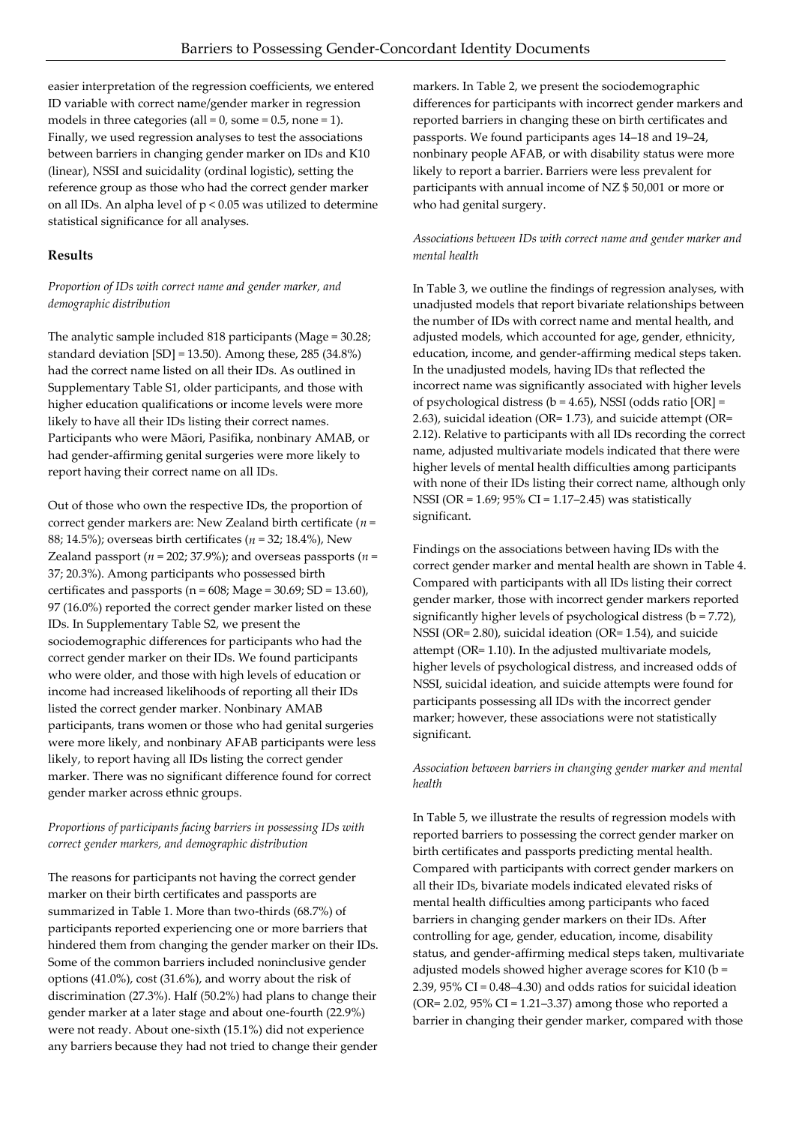easier interpretation of the regression coefficients, we entered ID variable with correct name/gender marker in regression models in three categories (all =  $0$ , some =  $0.5$ , none =  $1$ ). Finally, we used regression analyses to test the associations between barriers in changing gender marker on IDs and K10 (linear), NSSI and suicidality (ordinal logistic), setting the reference group as those who had the correct gender marker on all IDs. An alpha level of p < 0.05 was utilized to determine statistical significance for all analyses.

## **Results**

## *Proportion of IDs with correct name and gender marker, and demographic distribution*

The analytic sample included 818 participants (Mage = 30.28; standard deviation [SD] = 13.50). Among these, 285 (34.8%) had the correct name listed on all their IDs. As outlined in Supplementary Table S1, older participants, and those with higher education qualifications or income levels were more likely to have all their IDs listing their correct names. Participants who were Māori, Pasifika, nonbinary AMAB, or had gender-affirming genital surgeries were more likely to report having their correct name on all IDs.

Out of those who own the respective IDs, the proportion of correct gender markers are: New Zealand birth certificate (*n* = 88; 14.5%); overseas birth certificates (*n* = 32; 18.4%), New Zealand passport ( $n = 202$ ; 37.9%); and overseas passports ( $n =$ 37; 20.3%). Among participants who possessed birth certificates and passports ( $n = 608$ ; Mage = 30.69; SD = 13.60), 97 (16.0%) reported the correct gender marker listed on these IDs. In Supplementary Table S2, we present the sociodemographic differences for participants who had the correct gender marker on their IDs. We found participants who were older, and those with high levels of education or income had increased likelihoods of reporting all their IDs listed the correct gender marker. Nonbinary AMAB participants, trans women or those who had genital surgeries were more likely, and nonbinary AFAB participants were less likely, to report having all IDs listing the correct gender marker. There was no significant difference found for correct gender marker across ethnic groups.

## *Proportions of participants facing barriers in possessing IDs with correct gender markers, and demographic distribution*

The reasons for participants not having the correct gender marker on their birth certificates and passports are summarized in Table 1. More than two-thirds (68.7%) of participants reported experiencing one or more barriers that hindered them from changing the gender marker on their IDs. Some of the common barriers included noninclusive gender options (41.0%), cost (31.6%), and worry about the risk of discrimination (27.3%). Half (50.2%) had plans to change their gender marker at a later stage and about one-fourth (22.9%) were not ready. About one-sixth (15.1%) did not experience any barriers because they had not tried to change their gender

markers. In Table 2, we present the sociodemographic differences for participants with incorrect gender markers and reported barriers in changing these on birth certificates and passports. We found participants ages 14–18 and 19–24, nonbinary people AFAB, or with disability status were more likely to report a barrier. Barriers were less prevalent for participants with annual income of NZ \$ 50,001 or more or who had genital surgery.

## *Associations between IDs with correct name and gender marker and mental health*

In Table 3, we outline the findings of regression analyses, with unadjusted models that report bivariate relationships between the number of IDs with correct name and mental health, and adjusted models, which accounted for age, gender, ethnicity, education, income, and gender-affirming medical steps taken. In the unadjusted models, having IDs that reflected the incorrect name was significantly associated with higher levels of psychological distress ( $b = 4.65$ ), NSSI (odds ratio [OR] = 2.63), suicidal ideation (OR= 1.73), and suicide attempt (OR= 2.12). Relative to participants with all IDs recording the correct name, adjusted multivariate models indicated that there were higher levels of mental health difficulties among participants with none of their IDs listing their correct name, although only NSSI (OR = 1.69; 95% CI = 1.17–2.45) was statistically significant.

Findings on the associations between having IDs with the correct gender marker and mental health are shown in Table 4. Compared with participants with all IDs listing their correct gender marker, those with incorrect gender markers reported significantly higher levels of psychological distress (b = 7.72), NSSI (OR= 2.80), suicidal ideation (OR= 1.54), and suicide attempt (OR= 1.10). In the adjusted multivariate models, higher levels of psychological distress, and increased odds of NSSI, suicidal ideation, and suicide attempts were found for participants possessing all IDs with the incorrect gender marker; however, these associations were not statistically significant.

## *Association between barriers in changing gender marker and mental health*

In Table 5, we illustrate the results of regression models with reported barriers to possessing the correct gender marker on birth certificates and passports predicting mental health. Compared with participants with correct gender markers on all their IDs, bivariate models indicated elevated risks of mental health difficulties among participants who faced barriers in changing gender markers on their IDs. After controlling for age, gender, education, income, disability status, and gender-affirming medical steps taken, multivariate adjusted models showed higher average scores for K10 (b = 2.39, 95% CI = 0.48–4.30) and odds ratios for suicidal ideation (OR=  $2.02$ ,  $95\%$  CI =  $1.21 - 3.37$ ) among those who reported a barrier in changing their gender marker, compared with those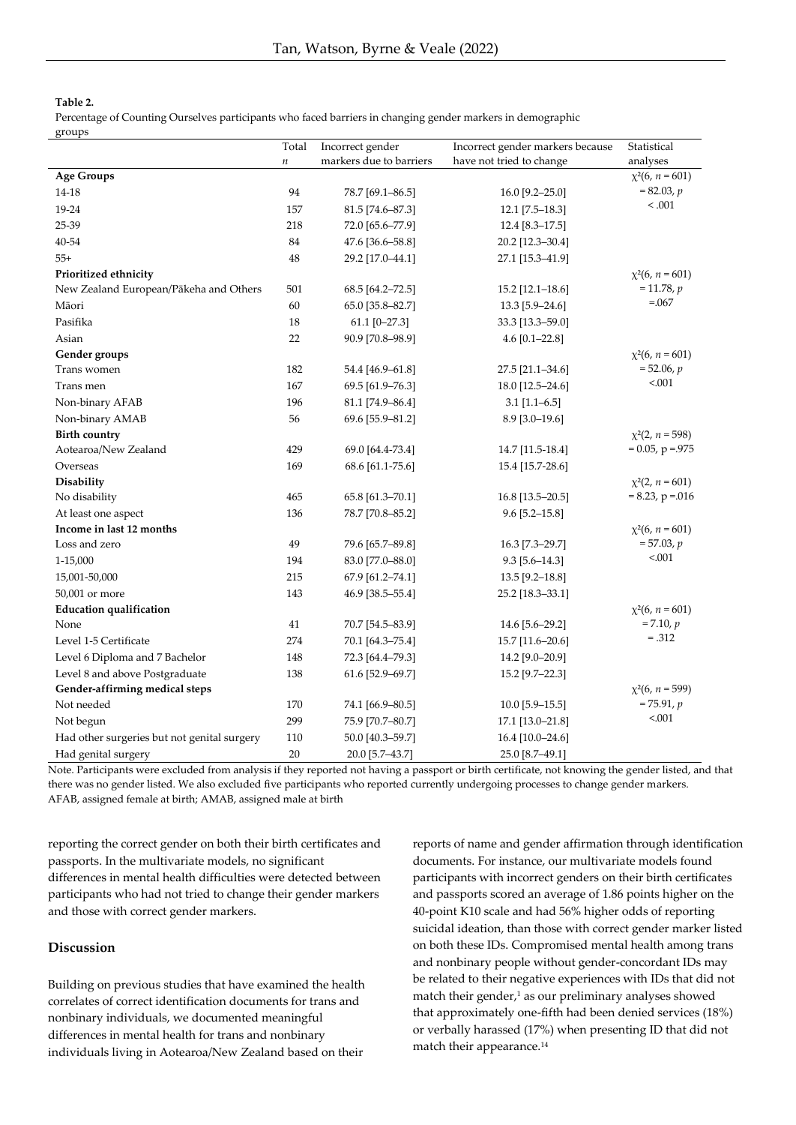### **Table 2.**

Percentage of Counting Ourselves participants who faced barriers in changing gender markers in demographic

| groups                                      |         |                         |                                  |                      |
|---------------------------------------------|---------|-------------------------|----------------------------------|----------------------|
|                                             | Total   | Incorrect gender        | Incorrect gender markers because | Statistical          |
|                                             | $\it n$ | markers due to barriers | have not tried to change         | analyses             |
| <b>Age Groups</b>                           |         |                         |                                  | $\chi^2(6, n = 601)$ |
| 14-18                                       | 94      | 78.7 [69.1-86.5]        | 16.0 [9.2-25.0]                  | $= 82.03, p$         |
| 19-24                                       | 157     | 81.5 [74.6-87.3]        | 12.1 [7.5-18.3]                  | < 0.001              |
| 25-39                                       | 218     | 72.0 [65.6-77.9]        | 12.4 [8.3-17.5]                  |                      |
| 40-54                                       | 84      | 47.6 [36.6-58.8]        | 20.2 [12.3-30.4]                 |                      |
| $55+$                                       | 48      | 29.2 [17.0-44.1]        | 27.1 [15.3-41.9]                 |                      |
| Prioritized ethnicity                       |         |                         |                                  | $\chi^2(6, n = 601)$ |
| New Zealand European/Pākeha and Others      | 501     | 68.5 [64.2-72.5]        | 15.2 [12.1-18.6]                 | $= 11.78, p$         |
| Māori                                       | 60      | 65.0 [35.8-82.7]        | 13.3 [5.9-24.6]                  | $=.067$              |
| Pasifika                                    | 18      | $61.1$ [0-27.3]         | 33.3 [13.3-59.0]                 |                      |
| Asian                                       | 22      | 90.9 [70.8-98.9]        | 4.6 $[0.1 - 22.8]$               |                      |
| Gender groups                               |         |                         |                                  | $\chi^2(6, n = 601)$ |
| Trans women                                 | 182     | 54.4 [46.9-61.8]        | 27.5 [21.1-34.6]                 | $= 52.06, p$         |
| Trans men                                   | 167     | 69.5 [61.9-76.3]        | 18.0 [12.5-24.6]                 | < 0.001              |
| Non-binary AFAB                             | 196     | 81.1 [74.9-86.4]        | $3.1$ [1.1-6.5]                  |                      |
| Non-binary AMAB                             | 56      | 69.6 [55.9-81.2]        | 8.9 [3.0-19.6]                   |                      |
| <b>Birth country</b>                        |         |                         |                                  | $\chi^2(2, n = 598)$ |
| Aotearoa/New Zealand                        | 429     | 69.0 [64.4-73.4]        | 14.7 [11.5-18.4]                 | $= 0.05$ , p = 975   |
| Overseas                                    | 169     | 68.6 [61.1-75.6]        | 15.4 [15.7-28.6]                 |                      |
| Disability                                  |         |                         |                                  | $\chi^2(2, n = 601)$ |
| No disability                               | 465     | 65.8 [61.3-70.1]        | 16.8 [13.5–20.5]                 | $= 8.23$ , p = 016   |
| At least one aspect                         | 136     | 78.7 [70.8-85.2]        | $9.6$ [5.2-15.8]                 |                      |
| Income in last 12 months                    |         |                         |                                  | $x^2(6, n = 601)$    |
| Loss and zero                               | 49      | 79.6 [65.7-89.8]        | 16.3 [7.3–29.7]                  | $= 57.03, p$         |
| 1-15,000                                    | 194     | 83.0 [77.0-88.0]        | $9.3$ [5.6-14.3]                 | < 0.001              |
| 15,001-50,000                               | 215     | 67.9 [61.2-74.1]        | 13.5 [9.2-18.8]                  |                      |
| 50,001 or more                              | 143     | 46.9 [38.5-55.4]        | 25.2 [18.3–33.1]                 |                      |
| <b>Education qualification</b>              |         |                         |                                  | $\chi^2(6, n = 601)$ |
| None                                        | 41      | 70.7 [54.5–83.9]        | 14.6 [5.6-29.2]                  | $= 7.10, p$          |
| Level 1-5 Certificate                       | 274     | 70.1 [64.3-75.4]        | 15.7 [11.6-20.6]                 | $=.312$              |
| Level 6 Diploma and 7 Bachelor              | 148     | 72.3 [64.4-79.3]        | 14.2 [9.0–20.9]                  |                      |
| Level 8 and above Postgraduate              | 138     | 61.6 [52.9-69.7]        | 15.2 [9.7-22.3]                  |                      |
| Gender-affirming medical steps              |         |                         |                                  | $\chi^2(6, n = 599)$ |
| Not needed                                  | 170     | 74.1 [66.9-80.5]        | $10.0$ [5.9-15.5]                | $= 75.91, p$         |
| Not begun                                   | 299     | 75.9 [70.7-80.7]        | 17.1 [13.0-21.8]                 | < 0.001              |
| Had other surgeries but not genital surgery | 110     | 50.0 [40.3-59.7]        | 16.4 [10.0-24.6]                 |                      |
| Had genital surgery                         | 20      | 20.0 [5.7-43.7]         | 25.0 [8.7-49.1]                  |                      |

Note. Participants were excluded from analysis if they reported not having a passport or birth certificate, not knowing the gender listed, and that there was no gender listed. We also excluded five participants who reported currently undergoing processes to change gender markers. AFAB, assigned female at birth; AMAB, assigned male at birth

reporting the correct gender on both their birth certificates and passports. In the multivariate models, no significant differences in mental health difficulties were detected between participants who had not tried to change their gender markers and those with correct gender markers.

#### **Discussion**

Building on previous studies that have examined the health correlates of correct identification documents for trans and nonbinary individuals, we documented meaningful differences in mental health for trans and nonbinary individuals living in Aotearoa/New Zealand based on their

reports of name and gender affirmation through identification documents. For instance, our multivariate models found participants with incorrect genders on their birth certificates and passports scored an average of 1.86 points higher on the 40-point K10 scale and had 56% higher odds of reporting suicidal ideation, than those with correct gender marker listed on both these IDs. Compromised mental health among trans and nonbinary people without gender-concordant IDs may be related to their negative experiences with IDs that did not match their gender, $1$  as our preliminary analyses showed that approximately one-fifth had been denied services (18%) or verbally harassed (17%) when presenting ID that did not match their appearance.<sup>14</sup>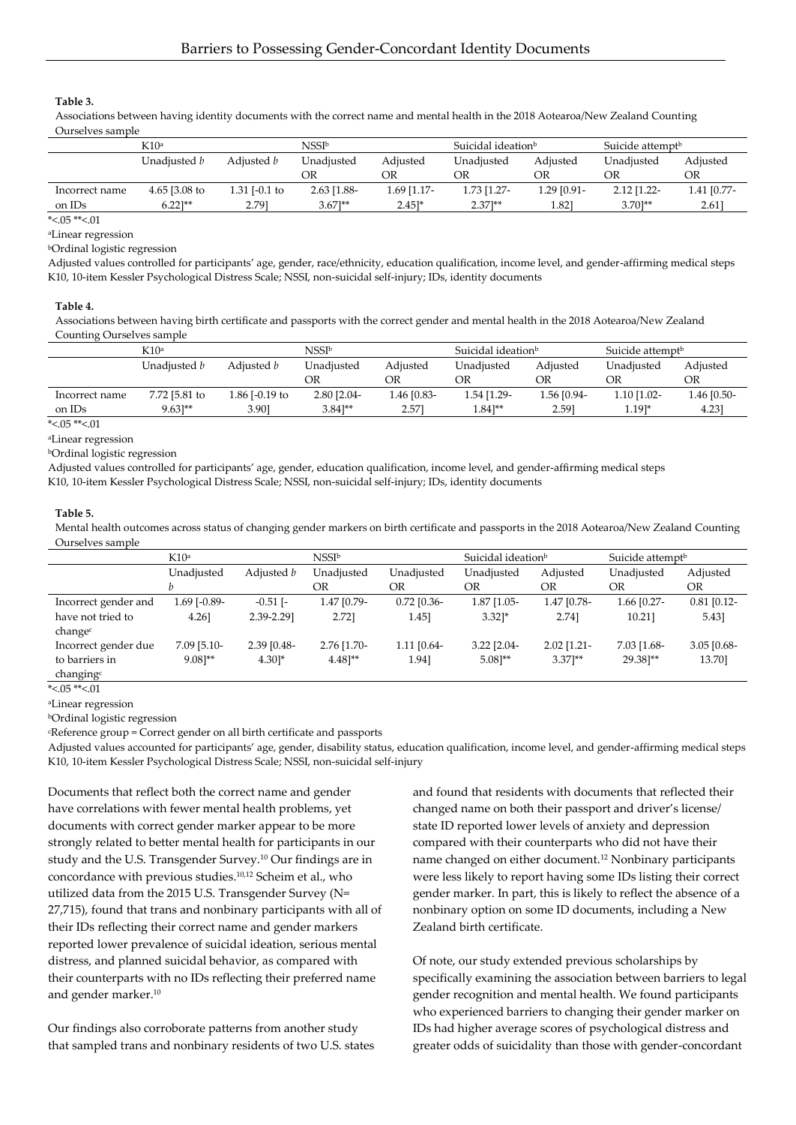**Table 3.**

Associations between having identity documents with the correct name and mental health in the 2018 Aotearoa/New Zealand Counting Ourselves sample

|                | K10a          |               | NSSI♭                |                     | Suicidal ideation <sup>b</sup> |             | Suicide attempt <sup>b</sup> |             |
|----------------|---------------|---------------|----------------------|---------------------|--------------------------------|-------------|------------------------------|-------------|
|                | Unadiusted b  | Adiusted b    | Unadiusted           | Adjusted            | Unadjusted                     | Adiusted    | Unadiusted                   | Adjusted    |
|                |               |               | ЭR                   | ΟR                  | ОR                             | OR          | OR                           | OR          |
| Incorrect name | 4.65 [3.08 to | 1.31 [-0.1 to | 2.63 [1.88-          | $1.69$ [1.17-       | 1.73 [1.27-                    | 1.29 [0.91- | $2.12$ [1.22-                | 1.41 [0.77- |
| on IDs         | $6.22$ ]**    | 2.791         | $3.67$ <sup>**</sup> | $2.45$ <sup>*</sup> | $2.37$ <sup>**</sup>           | 1.821       | $3.70$ <sup>**</sup>         | 2.61]       |

\*<.05 \*\*<.01

<sup>a</sup>Linear regression

<sup>b</sup>Ordinal logistic regression

Adjusted values controlled for participants' age, gender, race/ethnicity, education qualification, income level, and gender-affirming medical steps K10, 10-item Kessler Psychological Distress Scale; NSSI, non-suicidal self-injury; IDs, identity documents

#### **Table 4.**

Associations between having birth certificate and passports with the correct gender and mental health in the 2018 Aotearoa/New Zealand Counting Ourselves sample

|                         | K10 <sup>a</sup>     |                   | NSSIb       |             | Suicidal ideation <sup>b</sup> |             | Suicide attempt <sup>b</sup> |             |
|-------------------------|----------------------|-------------------|-------------|-------------|--------------------------------|-------------|------------------------------|-------------|
|                         | Unadiusted b         | Adjusted <i>b</i> | Unadiusted  | Adiusted    | Unadiusted                     | Adiusted    | Unadiusted                   | Adiusted    |
|                         |                      |                   | ОR          | ΟR          | OR                             | ОR          | OR                           | OR          |
| Incorrect name          | 7.72 [5.81 to        | 1.86 [-0.19 to    | 2.80 [2.04- | 1.46 [0.83- | 1.54 [1.29-                    | 1.56 [0.94- | 1.10 [1.02-                  | 1.46 [0.50- |
| on IDs                  | $9.63$ <sup>**</sup> | 3.901             | $3.841**$   | 2.571       | $1.84$ <sup>**</sup>           | 2.591       | $1.191*$                     | 4.23]       |
| $\alpha$ as $\alpha$ as |                      |                   |             |             |                                |             |                              |             |

 $*<0.5$  \*\* $<0.1$ 

<sup>a</sup>Linear regression <sup>b</sup>Ordinal logistic regression

Adjusted values controlled for participants' age, gender, education qualification, income level, and gender-affirming medical steps K10, 10-item Kessler Psychological Distress Scale; NSSI, non-suicidal self-injury; IDs, identity documents

**Table 5.**

Mental health outcomes across status of changing gender markers on birth certificate and passports in the 2018 Aotearoa/New Zealand Counting Ourselves sample

|                       | K10 <sup>a</sup>     |                     | NSSI <sup>b</sup>    |                 | Suicidal ideation <sup>b</sup> |                      | Suicide attempt <sup>b</sup> |               |
|-----------------------|----------------------|---------------------|----------------------|-----------------|--------------------------------|----------------------|------------------------------|---------------|
|                       | Unadjusted           | Adjusted b          | Unadjusted           | Unadjusted      | Unadjusted                     | Adjusted             | Unadjusted                   | Adjusted      |
|                       |                      |                     | OR                   | OR.             | OR                             | OR                   | OR                           | OR            |
| Incorrect gender and  | 1.69 [-0.89-         | $-0.51$ [ $-$       | 1.47 [0.79-          | $0.72$ [0.36-   | $1.87$ [1.05-                  | 1.47 [0.78-          | 1.66 [0.27-                  | $0.81$ [0.12- |
| have not tried to     | 4.26                 | 2.39-2.29]          | 2.721                | 1.45]           | $3.32$ <sup>*</sup>            | 2.741                | 10.21]                       | 5.43]         |
| change <sup>c</sup>   |                      |                     |                      |                 |                                |                      |                              |               |
| Incorrect gender due  | $7.09$ [5.10-        | $2.39$ [0.48-       | $2.76$ [1.70-        | $1.11$ $[0.64-$ | $3.22$ [2.04-                  | $2.02$ [1.21-        | 7.03 [1.68-                  | $3.05$ [0.68- |
| to barriers in        | $9.08$ <sup>**</sup> | $4.30$ <sup>*</sup> | $4.48$ <sup>**</sup> | 1.941           | $5.08$ <sup>**</sup>           | $3.37$ <sup>**</sup> | 29.381**                     | 13.70]        |
| changing <sup>c</sup> |                      |                     |                      |                 |                                |                      |                              |               |

\*<.05 \*\*<.01

<sup>a</sup>Linear regression

<sup>b</sup>Ordinal logistic regression

<sup>c</sup>Reference group = Correct gender on all birth certificate and passports

Adjusted values accounted for participants' age, gender, disability status, education qualification, income level, and gender-affirming medical steps K10, 10-item Kessler Psychological Distress Scale; NSSI, non-suicidal self-injury

Documents that reflect both the correct name and gender have correlations with fewer mental health problems, yet documents with correct gender marker appear to be more strongly related to better mental health for participants in our study and the U.S. Transgender Survey.<sup>10</sup> Our findings are in concordance with previous studies.10,12 Scheim et al., who utilized data from the 2015 U.S. Transgender Survey (N= 27,715), found that trans and nonbinary participants with all of their IDs reflecting their correct name and gender markers reported lower prevalence of suicidal ideation, serious mental distress, and planned suicidal behavior, as compared with their counterparts with no IDs reflecting their preferred name and gender marker.<sup>10</sup>

Our findings also corroborate patterns from another study that sampled trans and nonbinary residents of two U.S. states

and found that residents with documents that reflected their changed name on both their passport and driver's license/ state ID reported lower levels of anxiety and depression compared with their counterparts who did not have their name changed on either document.<sup>12</sup> Nonbinary participants were less likely to report having some IDs listing their correct gender marker. In part, this is likely to reflect the absence of a nonbinary option on some ID documents, including a New Zealand birth certificate.

Of note, our study extended previous scholarships by specifically examining the association between barriers to legal gender recognition and mental health. We found participants who experienced barriers to changing their gender marker on IDs had higher average scores of psychological distress and greater odds of suicidality than those with gender-concordant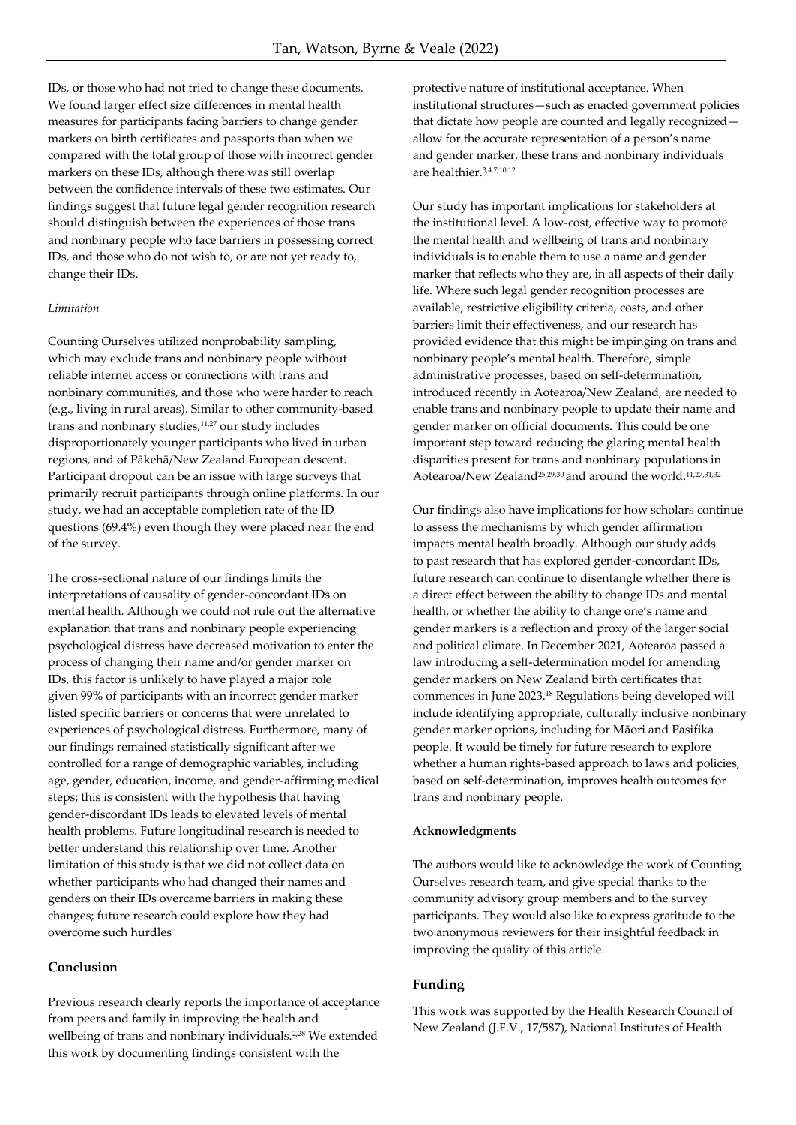IDs, or those who had not tried to change these documents. We found larger effect size differences in mental health measures for participants facing barriers to change gender markers on birth certificates and passports than when we compared with the total group of those with incorrect gender markers on these IDs, although there was still overlap between the confidence intervals of these two estimates. Our findings suggest that future legal gender recognition research should distinguish between the experiences of those trans and nonbinary people who face barriers in possessing correct IDs, and those who do not wish to, or are not yet ready to, change their IDs.

## *Limitation*

Counting Ourselves utilized nonprobability sampling, which may exclude trans and nonbinary people without reliable internet access or connections with trans and nonbinary communities, and those who were harder to reach (e.g., living in rural areas). Similar to other community-based trans and nonbinary studies,<sup>11,27</sup> our study includes disproportionately younger participants who lived in urban regions, and of Pākehā/New Zealand European descent. Participant dropout can be an issue with large surveys that primarily recruit participants through online platforms. In our study, we had an acceptable completion rate of the ID questions (69.4%) even though they were placed near the end of the survey.

The cross-sectional nature of our findings limits the interpretations of causality of gender-concordant IDs on mental health. Although we could not rule out the alternative explanation that trans and nonbinary people experiencing psychological distress have decreased motivation to enter the process of changing their name and/or gender marker on IDs, this factor is unlikely to have played a major role given 99% of participants with an incorrect gender marker listed specific barriers or concerns that were unrelated to experiences of psychological distress. Furthermore, many of our findings remained statistically significant after we controlled for a range of demographic variables, including age, gender, education, income, and gender-affirming medical steps; this is consistent with the hypothesis that having gender-discordant IDs leads to elevated levels of mental health problems. Future longitudinal research is needed to better understand this relationship over time. Another limitation of this study is that we did not collect data on whether participants who had changed their names and genders on their IDs overcame barriers in making these changes; future research could explore how they had overcome such hurdles

### **Conclusion**

Previous research clearly reports the importance of acceptance from peers and family in improving the health and wellbeing of trans and nonbinary individuals.<sup>2,28</sup> We extended this work by documenting findings consistent with the

protective nature of institutional acceptance. When institutional structures—such as enacted government policies that dictate how people are counted and legally recognized allow for the accurate representation of a person's name and gender marker, these trans and nonbinary individuals are healthier.3,4,7,10,12

Our study has important implications for stakeholders at the institutional level. A low-cost, effective way to promote the mental health and wellbeing of trans and nonbinary individuals is to enable them to use a name and gender marker that reflects who they are, in all aspects of their daily life. Where such legal gender recognition processes are available, restrictive eligibility criteria, costs, and other barriers limit their effectiveness, and our research has provided evidence that this might be impinging on trans and nonbinary people's mental health. Therefore, simple administrative processes, based on self-determination, introduced recently in Aotearoa/New Zealand, are needed to enable trans and nonbinary people to update their name and gender marker on official documents. This could be one important step toward reducing the glaring mental health disparities present for trans and nonbinary populations in Aotearoa/New Zealand<sup>25,29,30</sup> and around the world.<sup>11,27,31,32</sup>

Our findings also have implications for how scholars continue to assess the mechanisms by which gender affirmation impacts mental health broadly. Although our study adds to past research that has explored gender-concordant IDs, future research can continue to disentangle whether there is a direct effect between the ability to change IDs and mental health, or whether the ability to change one's name and gender markers is a reflection and proxy of the larger social and political climate. In December 2021, Aotearoa passed a law introducing a self-determination model for amending gender markers on New Zealand birth certificates that commences in June 2023.<sup>18</sup> Regulations being developed will include identifying appropriate, culturally inclusive nonbinary gender marker options, including for Māori and Pasifika people. It would be timely for future research to explore whether a human rights-based approach to laws and policies, based on self-determination, improves health outcomes for trans and nonbinary people.

#### **Acknowledgments**

The authors would like to acknowledge the work of Counting Ourselves research team, and give special thanks to the community advisory group members and to the survey participants. They would also like to express gratitude to the two anonymous reviewers for their insightful feedback in improving the quality of this article.

#### **Funding**

This work was supported by the Health Research Council of New Zealand (J.F.V., 17/587), National Institutes of Health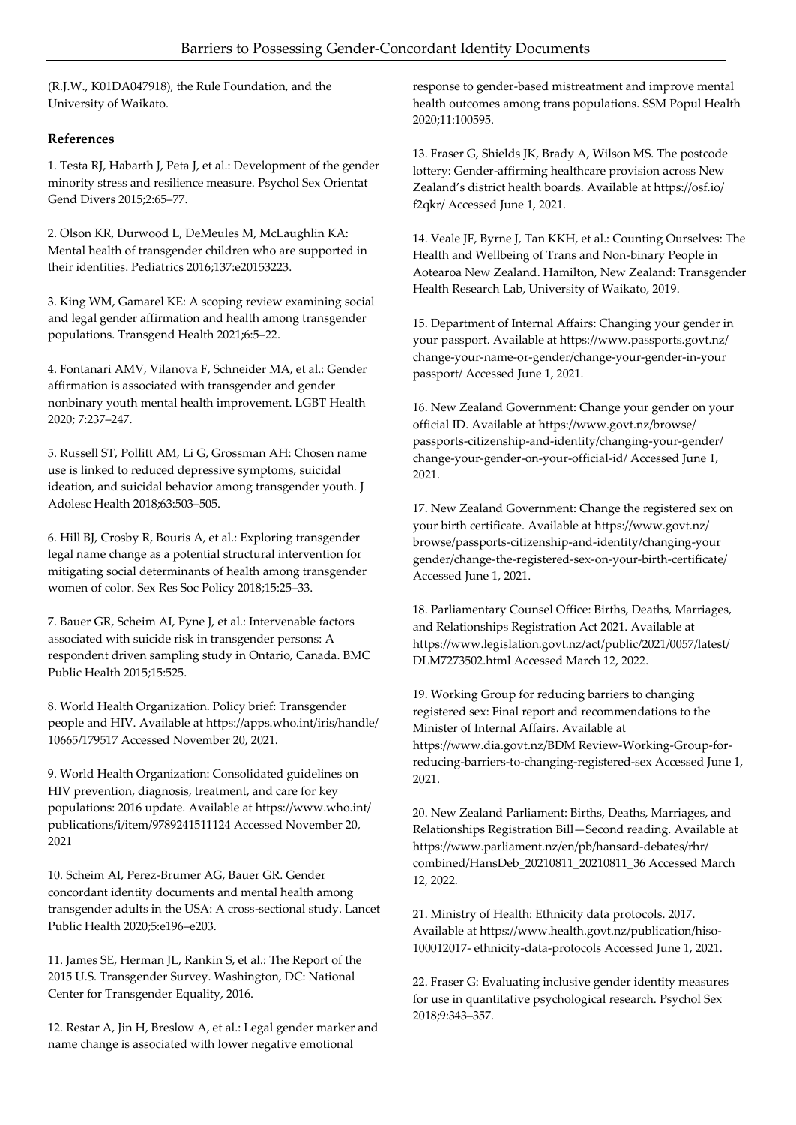(R.J.W., K01DA047918), the Rule Foundation, and the University of Waikato.

# **References**

1. Testa RJ, Habarth J, Peta J, et al.: Development of the gender minority stress and resilience measure. Psychol Sex Orientat Gend Divers 2015;2:65–77.

2. Olson KR, Durwood L, DeMeules M, McLaughlin KA: Mental health of transgender children who are supported in their identities. Pediatrics 2016;137:e20153223.

3. King WM, Gamarel KE: A scoping review examining social and legal gender affirmation and health among transgender populations. Transgend Health 2021;6:5–22.

4. Fontanari AMV, Vilanova F, Schneider MA, et al.: Gender affirmation is associated with transgender and gender nonbinary youth mental health improvement. LGBT Health 2020; 7:237–247.

5. Russell ST, Pollitt AM, Li G, Grossman AH: Chosen name use is linked to reduced depressive symptoms, suicidal ideation, and suicidal behavior among transgender youth. J Adolesc Health 2018;63:503–505.

6. Hill BJ, Crosby R, Bouris A, et al.: Exploring transgender legal name change as a potential structural intervention for mitigating social determinants of health among transgender women of color. Sex Res Soc Policy 2018;15:25–33.

7. Bauer GR, Scheim AI, Pyne J, et al.: Intervenable factors associated with suicide risk in transgender persons: A respondent driven sampling study in Ontario, Canada. BMC Public Health 2015;15:525.

8. World Health Organization. Policy brief: Transgender people and HIV. Available at https://apps.who.int/iris/handle/ 10665/179517 Accessed November 20, 2021.

9. World Health Organization: Consolidated guidelines on HIV prevention, diagnosis, treatment, and care for key populations: 2016 update. Available at https://www.who.int/ publications/i/item/9789241511124 Accessed November 20, 2021

10. Scheim AI, Perez-Brumer AG, Bauer GR. Gender concordant identity documents and mental health among transgender adults in the USA: A cross-sectional study. Lancet Public Health 2020;5:e196–e203.

11. James SE, Herman JL, Rankin S, et al.: The Report of the 2015 U.S. Transgender Survey. Washington, DC: National Center for Transgender Equality, 2016.

12. Restar A, Jin H, Breslow A, et al.: Legal gender marker and name change is associated with lower negative emotional

response to gender-based mistreatment and improve mental health outcomes among trans populations. SSM Popul Health 2020;11:100595.

13. Fraser G, Shields JK, Brady A, Wilson MS. The postcode lottery: Gender-affirming healthcare provision across New Zealand's district health boards. Available at https://osf.io/ f2qkr/ Accessed June 1, 2021.

14. Veale JF, Byrne J, Tan KKH, et al.: Counting Ourselves: The Health and Wellbeing of Trans and Non-binary People in Aotearoa New Zealand. Hamilton, New Zealand: Transgender Health Research Lab, University of Waikato, 2019.

15. Department of Internal Affairs: Changing your gender in your passport. Available at https://www.passports.govt.nz/ change-your-name-or-gender/change-your-gender-in-your passport/ Accessed June 1, 2021.

16. New Zealand Government: Change your gender on your official ID. Available at https://www.govt.nz/browse/ passports-citizenship-and-identity/changing-your-gender/ change-your-gender-on-your-official-id/ Accessed June 1, 2021.

17. New Zealand Government: Change the registered sex on your birth certificate. Available at https://www.govt.nz/ browse/passports-citizenship-and-identity/changing-your gender/change-the-registered-sex-on-your-birth-certificate/ Accessed June 1, 2021.

18. Parliamentary Counsel Office: Births, Deaths, Marriages, and Relationships Registration Act 2021. Available at https://www.legislation.govt.nz/act/public/2021/0057/latest/ DLM7273502.html Accessed March 12, 2022.

19. Working Group for reducing barriers to changing registered sex: Final report and recommendations to the Minister of Internal Affairs. Available at https://www.dia.govt.nz/BDM Review-Working-Group-forreducing-barriers-to-changing-registered-sex Accessed June 1, 2021.

20. New Zealand Parliament: Births, Deaths, Marriages, and Relationships Registration Bill—Second reading. Available at https://www.parliament.nz/en/pb/hansard-debates/rhr/ combined/HansDeb\_20210811\_20210811\_36 Accessed March 12, 2022.

21. Ministry of Health: Ethnicity data protocols. 2017. Available at https://www.health.govt.nz/publication/hiso-100012017- ethnicity-data-protocols Accessed June 1, 2021.

22. Fraser G: Evaluating inclusive gender identity measures for use in quantitative psychological research. Psychol Sex 2018;9:343–357.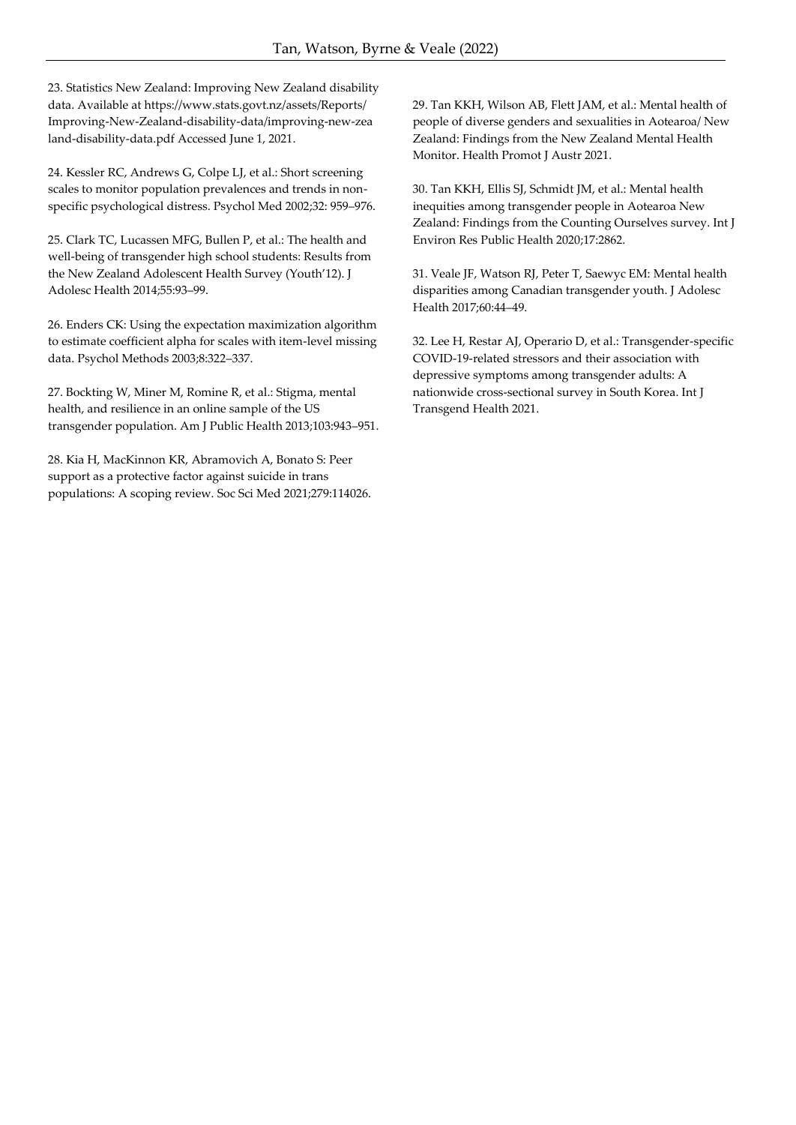23. Statistics New Zealand: Improving New Zealand disability data. Available at https://www.stats.govt.nz/assets/Reports/ Improving-New-Zealand-disability-data/improving-new-zea land-disability-data.pdf Accessed June 1, 2021.

24. Kessler RC, Andrews G, Colpe LJ, et al.: Short screening scales to monitor population prevalences and trends in nonspecific psychological distress. Psychol Med 2002;32: 959–976.

25. Clark TC, Lucassen MFG, Bullen P, et al.: The health and well-being of transgender high school students: Results from the New Zealand Adolescent Health Survey (Youth'12). J Adolesc Health 2014;55:93–99.

26. Enders CK: Using the expectation maximization algorithm to estimate coefficient alpha for scales with item-level missing data. Psychol Methods 2003;8:322–337.

27. Bockting W, Miner M, Romine R, et al.: Stigma, mental health, and resilience in an online sample of the US transgender population. Am J Public Health 2013;103:943–951.

28. Kia H, MacKinnon KR, Abramovich A, Bonato S: Peer support as a protective factor against suicide in trans populations: A scoping review. Soc Sci Med 2021;279:114026. 29. Tan KKH, Wilson AB, Flett JAM, et al.: Mental health of people of diverse genders and sexualities in Aotearoa/ New Zealand: Findings from the New Zealand Mental Health Monitor. Health Promot J Austr 2021.

30. Tan KKH, Ellis SJ, Schmidt JM, et al.: Mental health inequities among transgender people in Aotearoa New Zealand: Findings from the Counting Ourselves survey. Int J Environ Res Public Health 2020;17:2862.

31. Veale JF, Watson RJ, Peter T, Saewyc EM: Mental health disparities among Canadian transgender youth. J Adolesc Health 2017;60:44–49.

32. Lee H, Restar AJ, Operario D, et al.: Transgender-specific COVID-19-related stressors and their association with depressive symptoms among transgender adults: A nationwide cross-sectional survey in South Korea. Int J Transgend Health 2021.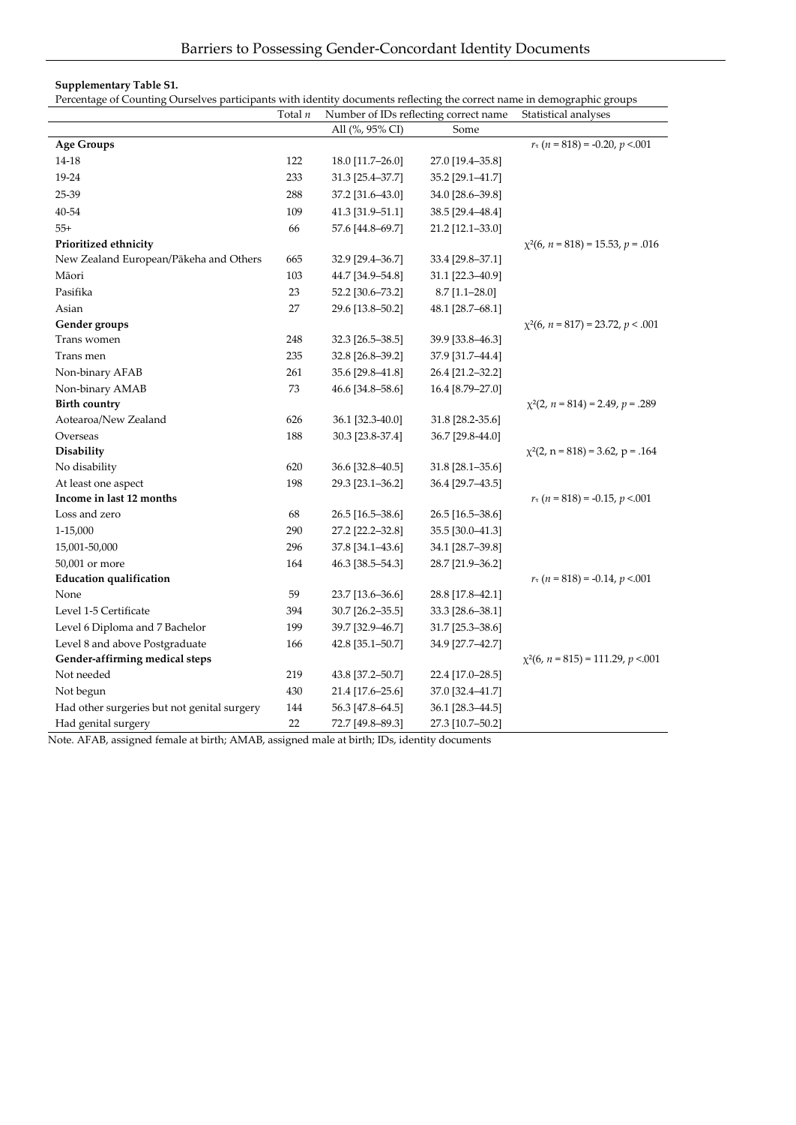## **Supplementary Table S1.**

Percentage of Counting Ourselves participants with identity documents reflecting the correct name in demographic groups

|                                             | Total $n$ |                  | Number of IDs reflecting correct name | Statistical analyses                                 |
|---------------------------------------------|-----------|------------------|---------------------------------------|------------------------------------------------------|
|                                             |           | All (%, 95% CI)  | Some                                  |                                                      |
| <b>Age Groups</b>                           |           |                  |                                       | $r_{\tau}$ (n = 818) = -0.20, p <.001                |
| 14-18                                       | 122       | 18.0 [11.7-26.0] | 27.0 [19.4-35.8]                      |                                                      |
| 19-24                                       | 233       | 31.3 [25.4-37.7] | 35.2 [29.1-41.7]                      |                                                      |
| 25-39                                       | 288       | 37.2 [31.6-43.0] | 34.0 [28.6-39.8]                      |                                                      |
| 40-54                                       | 109       | 41.3 [31.9-51.1] | 38.5 [29.4-48.4]                      |                                                      |
| $55+$                                       | 66        | 57.6 [44.8-69.7] | 21.2 [12.1-33.0]                      |                                                      |
| Prioritized ethnicity                       |           |                  |                                       | $\chi^2(6, n = 818) = 15.53, p = .016$               |
| New Zealand European/Pākeha and Others      | 665       | 32.9 [29.4-36.7] | 33.4 [29.8–37.1]                      |                                                      |
| Māori                                       | 103       | 44.7 [34.9-54.8] | 31.1 [22.3-40.9]                      |                                                      |
| Pasifika                                    | 23        | 52.2 [30.6-73.2] | $8.7$ [1.1-28.0]                      |                                                      |
| Asian                                       | 27        | 29.6 [13.8-50.2] | 48.1 [28.7-68.1]                      |                                                      |
| Gender groups                               |           |                  |                                       | $\chi^2(6, n = 817) = 23.72, p < .001$               |
| Trans women                                 | 248       | 32.3 [26.5–38.5] | 39.9 [33.8–46.3]                      |                                                      |
| Trans men                                   | 235       | 32.8 [26.8-39.2] | 37.9 [31.7-44.4]                      |                                                      |
| Non-binary AFAB                             | 261       | 35.6 [29.8-41.8] | 26.4 [21.2-32.2]                      |                                                      |
| Non-binary AMAB                             | 73        | 46.6 [34.8–58.6] | 16.4 [8.79-27.0]                      |                                                      |
| <b>Birth country</b>                        |           |                  |                                       | $\chi^2(2, n = 814) = 2.49, p = .289$                |
| Aotearoa/New Zealand                        | 626       | 36.1 [32.3-40.0] | 31.8 [28.2-35.6]                      |                                                      |
| Overseas                                    | 188       | 30.3 [23.8-37.4] | 36.7 [29.8-44.0]                      |                                                      |
| Disability                                  |           |                  |                                       | $\chi^2(2, n = 818) = 3.62, p = .164$                |
| No disability                               | 620       | 36.6 [32.8-40.5] | 31.8 [28.1-35.6]                      |                                                      |
| At least one aspect                         | 198       | 29.3 [23.1-36.2] | 36.4 [29.7-43.5]                      |                                                      |
| Income in last 12 months                    |           |                  |                                       | $r_{\tau}$ ( <i>n</i> = 818) = -0.15, <i>p</i> <.001 |
| Loss and zero                               | 68        | 26.5 [16.5-38.6] | 26.5 [16.5–38.6]                      |                                                      |
| 1-15,000                                    | 290       | 27.2 [22.2-32.8] | 35.5 [30.0-41.3]                      |                                                      |
| 15,001-50,000                               | 296       | 37.8 [34.1-43.6] | 34.1 [28.7-39.8]                      |                                                      |
| 50,001 or more                              | 164       | 46.3 [38.5-54.3] | 28.7 [21.9-36.2]                      |                                                      |
| <b>Education qualification</b>              |           |                  |                                       | $r_{\tau}$ (n = 818) = -0.14, p <.001                |
| None                                        | 59        | 23.7 [13.6-36.6] | 28.8 [17.8-42.1]                      |                                                      |
| Level 1-5 Certificate                       | 394       | 30.7 [26.2-35.5] | 33.3 [28.6-38.1]                      |                                                      |
| Level 6 Diploma and 7 Bachelor              | 199       | 39.7 [32.9-46.7] | 31.7 [25.3-38.6]                      |                                                      |
| Level 8 and above Postgraduate              | 166       | 42.8 [35.1-50.7] | 34.9 [27.7-42.7]                      |                                                      |
| Gender-affirming medical steps              |           |                  |                                       | $\chi^2(6, n = 815) = 111.29, p < 0.001$             |
| Not needed                                  | 219       | 43.8 [37.2-50.7] | 22.4 [17.0–28.5]                      |                                                      |
| Not begun                                   | 430       | 21.4 [17.6-25.6] | 37.0 [32.4-41.7]                      |                                                      |
| Had other surgeries but not genital surgery | 144       | 56.3 [47.8-64.5] | 36.1 [28.3-44.5]                      |                                                      |
| Had genital surgery                         | 22        | 72.7 [49.8-89.3] | 27.3 [10.7-50.2]                      |                                                      |

Note. AFAB, assigned female at birth; AMAB, assigned male at birth; IDs, identity documents